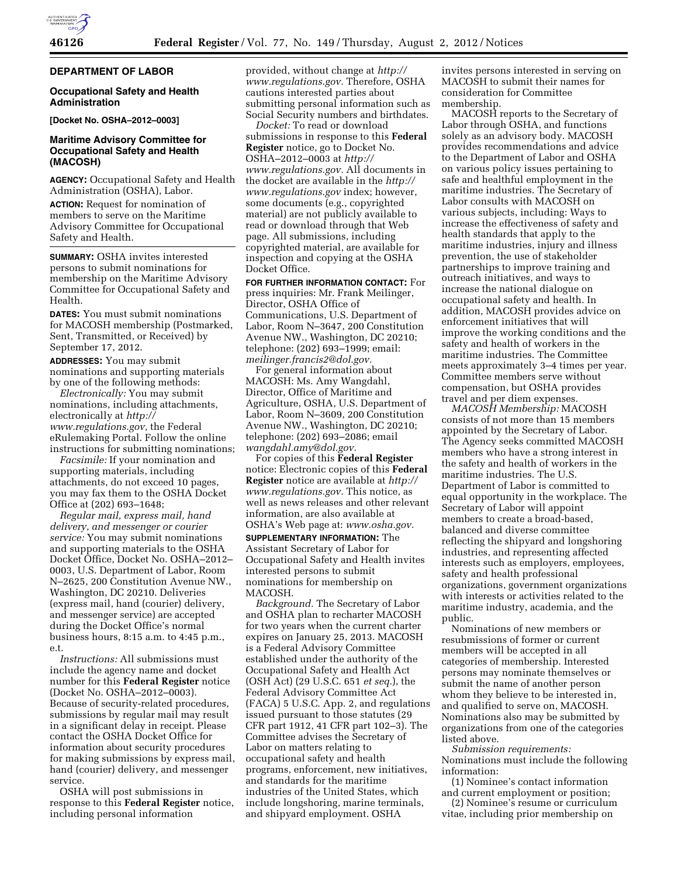## **DEPARTMENT OF LABOR**

## **Occupational Safety and Health Administration**

**[Docket No. OSHA–2012–0003]** 

# **Maritime Advisory Committee for Occupational Safety and Health (MACOSH)**

**AGENCY:** Occupational Safety and Health Administration (OSHA), Labor.

**ACTION:** Request for nomination of members to serve on the Maritime Advisory Committee for Occupational Safety and Health.

**SUMMARY:** OSHA invites interested persons to submit nominations for membership on the Maritime Advisory Committee for Occupational Safety and Health.

**DATES:** You must submit nominations for MACOSH membership (Postmarked, Sent, Transmitted, or Received) by September 17, 2012.

**ADDRESSES:** You may submit nominations and supporting materials by one of the following methods:

*Electronically:* You may submit nominations, including attachments, electronically at *[http://](http://www.regulations.gov) [www.regulations.gov,](http://www.regulations.gov)* the Federal eRulemaking Portal. Follow the online instructions for submitting nominations;

*Facsimile:* If your nomination and supporting materials, including attachments, do not exceed 10 pages, you may fax them to the OSHA Docket Office at (202) 693–1648;

*Regular mail, express mail, hand delivery, and messenger or courier service:* You may submit nominations and supporting materials to the OSHA Docket Office, Docket No. OSHA–2012– 0003, U.S. Department of Labor, Room N–2625, 200 Constitution Avenue NW., Washington, DC 20210. Deliveries (express mail, hand (courier) delivery, and messenger service) are accepted during the Docket Office's normal business hours, 8:15 a.m. to 4:45 p.m., e.t.

*Instructions:* All submissions must include the agency name and docket number for this **Federal Register** notice (Docket No. OSHA–2012–0003). Because of security-related procedures, submissions by regular mail may result in a significant delay in receipt. Please contact the OSHA Docket Office for information about security procedures for making submissions by express mail, hand (courier) delivery, and messenger service.

OSHA will post submissions in response to this **Federal Register** notice, including personal information

provided, without change at *[http://](http://www.regulations.gov) [www.regulations.gov.](http://www.regulations.gov)* Therefore, OSHA cautions interested parties about submitting personal information such as Social Security numbers and birthdates.

*Docket:* To read or download submissions in response to this **Federal Register** notice, go to Docket No. OSHA–2012–0003 at *[http://](http://www.regulations.gov) [www.regulations.gov.](http://www.regulations.gov)* All documents in the docket are available in the *[http://](http://www.regulations.gov)  [www.regulations.gov](http://www.regulations.gov)* index; however, some documents (e.g., copyrighted material) are not publicly available to read or download through that Web page. All submissions, including copyrighted material, are available for inspection and copying at the OSHA Docket Office.

**FOR FURTHER INFORMATION CONTACT:** For press inquiries: Mr. Frank Meilinger, Director, OSHA Office of Communications, U.S. Department of Labor, Room N–3647, 200 Constitution Avenue NW., Washington, DC 20210; telephone: (202) 693–1999; email: *[meilinger.francis2@dol.gov.](mailto:meilinger.francis2@dol.gov)* 

For general information about MACOSH: Ms. Amy Wangdahl, Director, Office of Maritime and Agriculture, OSHA, U.S. Department of Labor, Room N–3609, 200 Constitution Avenue NW., Washington, DC 20210; telephone: (202) 693–2086; email *[wangdahl.amy@dol.gov.](mailto:wangdahl.amy@dol.gov)* 

For copies of this **Federal Register**  notice: Electronic copies of this **Federal Register** notice are available at *[http://](http://www.regulations.gov) [www.regulations.gov.](http://www.regulations.gov)* This notice, as well as news releases and other relevant information, are also available at OSHA's Web page at: *[www.osha.gov.](http://www.osha.gov)*  **SUPPLEMENTARY INFORMATION:** The Assistant Secretary of Labor for Occupational Safety and Health invites interested persons to submit nominations for membership on MACOSH.

*Background.* The Secretary of Labor and OSHA plan to recharter MACOSH for two years when the current charter expires on January 25, 2013. MACOSH is a Federal Advisory Committee established under the authority of the Occupational Safety and Health Act (OSH Act) (29 U.S.C. 651 *et seq.*), the Federal Advisory Committee Act (FACA) 5 U.S.C. App. 2, and regulations issued pursuant to those statutes (29 CFR part 1912, 41 CFR part 102–3). The Committee advises the Secretary of Labor on matters relating to occupational safety and health programs, enforcement, new initiatives, and standards for the maritime industries of the United States, which include longshoring, marine terminals, and shipyard employment. OSHA

invites persons interested in serving on MACOSH to submit their names for consideration for Committee membership.

MACOSH reports to the Secretary of Labor through OSHA, and functions solely as an advisory body. MACOSH provides recommendations and advice to the Department of Labor and OSHA on various policy issues pertaining to safe and healthful employment in the maritime industries. The Secretary of Labor consults with MACOSH on various subjects, including: Ways to increase the effectiveness of safety and health standards that apply to the maritime industries, injury and illness prevention, the use of stakeholder partnerships to improve training and outreach initiatives, and ways to increase the national dialogue on occupational safety and health. In addition, MACOSH provides advice on enforcement initiatives that will improve the working conditions and the safety and health of workers in the maritime industries. The Committee meets approximately 3–4 times per year. Committee members serve without compensation, but OSHA provides travel and per diem expenses.

*MACOSH Membership:* MACOSH consists of not more than 15 members appointed by the Secretary of Labor. The Agency seeks committed MACOSH members who have a strong interest in the safety and health of workers in the maritime industries. The U.S. Department of Labor is committed to equal opportunity in the workplace. The Secretary of Labor will appoint members to create a broad-based, balanced and diverse committee reflecting the shipyard and longshoring industries, and representing affected interests such as employers, employees, safety and health professional organizations, government organizations with interests or activities related to the maritime industry, academia, and the public.

Nominations of new members or resubmissions of former or current members will be accepted in all categories of membership. Interested persons may nominate themselves or submit the name of another person whom they believe to be interested in, and qualified to serve on, MACOSH. Nominations also may be submitted by organizations from one of the categories listed above.

*Submission requirements:*  Nominations must include the following information:

- (1) Nominee's contact information and current employment or position;
- (2) Nominee's resume or curriculum vitae, including prior membership on